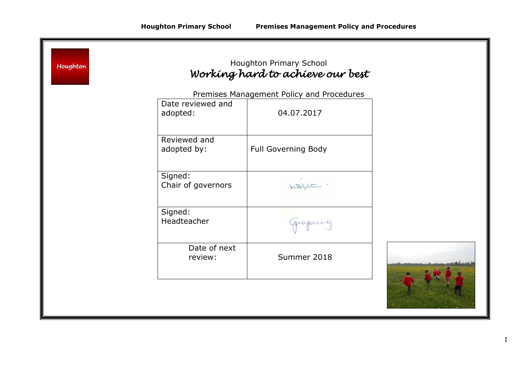| Houghton |                               | Houghton Primary School<br>Working hard to achieve our best |  |
|----------|-------------------------------|-------------------------------------------------------------|--|
|          |                               | Premises Management Policy and Procedures                   |  |
|          | Date reviewed and<br>adopted: | 04.07.2017                                                  |  |
|          | Reviewed and<br>adopted by:   | <b>Full Governing Body</b>                                  |  |
|          | Signed:<br>Chair of governors | won't.                                                      |  |
|          | Signed:<br>Headteacher        | quipuit                                                     |  |
|          | Date of next<br>review:       | Summer 2018                                                 |  |
|          |                               |                                                             |  |

<u> 1989 - Johann Stoff, deutscher Stoff, der Stoff, der Stoff, der Stoff, der Stoff, der Stoff, der Stoff, der S</u>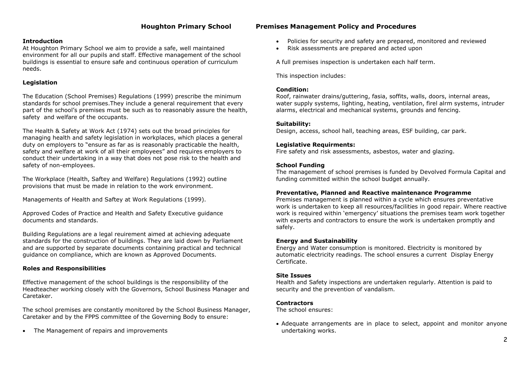## **Introduction**

At Houghton Primary School we aim to provide a safe, well maintained environment for all our pupils and staff. Effective management of the school buildings is essential to ensure safe and continuous operation of curriculum needs.

## **Legislation**

The Education (School Premises) Regulations (1999) prescribe the minimum standards for school premises.They include a general requirement that every part of the school's premises must be such as to reasonably assure the health, safety and welfare of the occupants.

The Health & Safety at Work Act (1974) sets out the broad principles for managing health and safety legislation in workplaces, which places a general duty on employers to "ensure as far as is reasonably practicable the health, safety and welfare at work of all their employees" and requires employers to conduct their undertaking in a way that does not pose risk to the health and safety of non-employees.

The Workplace (Health, Saftey and Welfare) Regulations (1992) outline provisions that must be made in relation to the work environment.

Managements of Health and Saftey at Work Regulations (1999).

Approved Codes of Practice and Health and Safety Executive guidance documents and standards.

Building Regulations are a legal reuirement aimed at achieving adequate standards for the construction of buildings. They are laid down by Parliament and are supported by separate documents containing practical and technical guidance on compliance, which are known as Approved Documents.

# **Roles and Responsibilities**

Effective management of the school buildings is the responsibility of the Headteacher working closely with the Governors, School Business Manager and Caretaker.

The school premises are constantly monitored by the School Business Manager, Caretaker and by the FPPS committee of the Governing Body to ensure:

The Management of repairs and improvements

# **Houghton Primary School Premises Management Policy and Procedures**

- Policies for security and safety are prepared, monitored and reviewed
- Risk assessments are prepared and acted upon

A full premises inspection is undertaken each half term.

This inspection includes:

## **Condition:**

Roof, rainwater drains/guttering, fasia, soffits, walls, doors, internal areas, water supply systems, lighting, heating, ventilation, firel alrm systems, intruder alarms, electrical and mechanical systems, grounds and fencing.

#### **Suitability:**

Design, access, school hall, teaching areas, ESF building, car park.

## **Legislative Requirments:**

Fire safety and risk assessments, asbestos, water and glazing.

## **School Funding**

The management of school premises is funded by Devolved Formula Capital and funding committed within the school budget annually.

# **Preventative, Planned and Reactive maintenance Programme**

Premises management is planned within a cycle which ensures preventative work is undertaken to keep all resources/facilities in good repair. Where reactive work is required within 'emergency' situations the premises team work together with experts and contractors to ensure the work is undertaken promptly and safely.

#### **Energy and Sustainability**

Energy and Water consumption is monitored. Electricity is monitored by automatic electricity readings. The school ensures a current Display Energy Certificate.

#### **Site Issues**

Health and Safety inspections are undertaken regularly. Attention is paid to security and the prevention of vandalism.

# **Contractors**

The school ensures:

 Adequate arrangements are in place to select, appoint and monitor anyone undertaking works.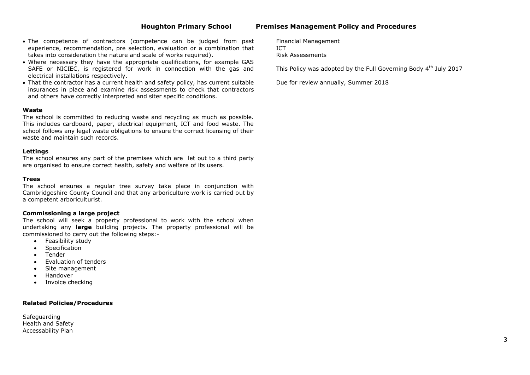## **Houghton Primary School Premises Management Policy and Procedures**

- The competence of contractors (competence can be judged from past experience, recommendation, pre selection, evaluation or a combination that takes into consideration the nature and scale of works required).
- Where necessary they have the appropriate qualifications, for example GAS SAFE or NICIEC, is registered for work in connection with the gas and electrical installations respectively.
- That the contractor has a current health and safety policy, has current suitable insurances in place and examine risk assessments to check that contractors and others have correctly interpreted and siter specific conditions.

#### **Waste**

The school is committed to reducing waste and recycling as much as possible. This includes cardboard, paper, electrical equipment, ICT and food waste. The school follows any legal waste obligations to ensure the correct licensing of their waste and maintain such records.

#### **Lettings**

The school ensures any part of the premises which are let out to a third party are organised to ensure correct health, safety and welfare of its users.

#### **Trees**

The school ensures a regular tree survey take place in conjunction with Cambridgeshire County Council and that any arboriculture work is carried out by a competent arboriculturist.

#### **Commissioning a large project**

The school will seek a property professional to work with the school when undertaking any **large** building projects. The property professional will be commissioned to carry out the following steps:-

- Feasibility study
- Specification
- Tender
- Evaluation of tenders
- Site management
- Handover
- Invoice checking

#### **Related Policies/Procedures**

**Safeguarding** Health and Safety Accessability Plan

Financial Management ICT Risk Assessments

This Policy was adopted by the Full Governing Body 4<sup>th</sup> July 2017

Due for review annually, Summer 2018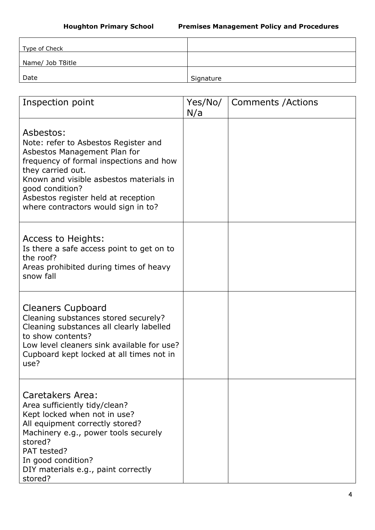| Type of Check    |           |
|------------------|-----------|
| Name/ Job T8itle |           |
| Date             | Signature |

| Inspection point                                                                                                                                                                                                                                                                              | Yes/No/<br>N/a | <b>Comments / Actions</b> |
|-----------------------------------------------------------------------------------------------------------------------------------------------------------------------------------------------------------------------------------------------------------------------------------------------|----------------|---------------------------|
| Asbestos:<br>Note: refer to Asbestos Register and<br>Asbestos Management Plan for<br>frequency of formal inspections and how<br>they carried out.<br>Known and visible asbestos materials in<br>good condition?<br>Asbestos register held at reception<br>where contractors would sign in to? |                |                           |
| Access to Heights:<br>Is there a safe access point to get on to<br>the roof?<br>Areas prohibited during times of heavy<br>snow fall                                                                                                                                                           |                |                           |
| <b>Cleaners Cupboard</b><br>Cleaning substances stored securely?<br>Cleaning substances all clearly labelled<br>to show contents?<br>Low level cleaners sink available for use?<br>Cupboard kept locked at all times not in<br>use?                                                           |                |                           |
| Caretakers Area:<br>Area sufficiently tidy/clean?<br>Kept locked when not in use?<br>All equipment correctly stored?<br>Machinery e.g., power tools securely<br>stored?<br>PAT tested?<br>In good condition?<br>DIY materials e.g., paint correctly<br>stored?                                |                |                           |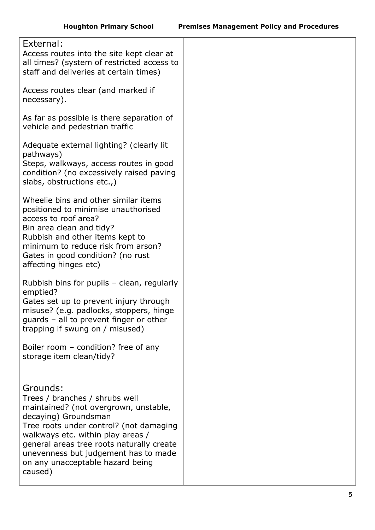| External:<br>Access routes into the site kept clear at<br>all times? (system of restricted access to<br>staff and deliveries at certain times)<br>Access routes clear (and marked if<br>necessary).                                                                                                                             |  |
|---------------------------------------------------------------------------------------------------------------------------------------------------------------------------------------------------------------------------------------------------------------------------------------------------------------------------------|--|
| As far as possible is there separation of<br>vehicle and pedestrian traffic                                                                                                                                                                                                                                                     |  |
| Adequate external lighting? (clearly lit<br>pathways)<br>Steps, walkways, access routes in good<br>condition? (no excessively raised paving<br>slabs, obstructions etc.,)                                                                                                                                                       |  |
| Wheelie bins and other similar items<br>positioned to minimise unauthorised<br>access to roof area?<br>Bin area clean and tidy?<br>Rubbish and other items kept to<br>minimum to reduce risk from arson?<br>Gates in good condition? (no rust<br>affecting hinges etc)                                                          |  |
| Rubbish bins for pupils - clean, regularly<br>emptied?<br>Gates set up to prevent injury through<br>misuse? (e.g. padlocks, stoppers, hinge<br>guards - all to prevent finger or other<br>trapping if swung on / misused)<br>Boiler room – condition? free of any                                                               |  |
| storage item clean/tidy?                                                                                                                                                                                                                                                                                                        |  |
| Grounds:<br>Trees / branches / shrubs well<br>maintained? (not overgrown, unstable,<br>decaying) Groundsman<br>Tree roots under control? (not damaging<br>walkways etc. within play areas /<br>general areas tree roots naturally create<br>unevenness but judgement has to made<br>on any unacceptable hazard being<br>caused) |  |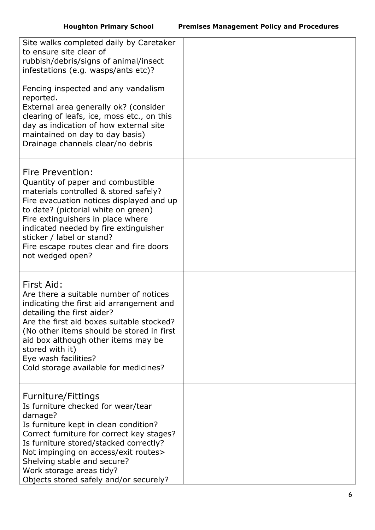| Site walks completed daily by Caretaker<br>to ensure site clear of<br>rubbish/debris/signs of animal/insect<br>infestations (e.g. wasps/ants etc)?<br>Fencing inspected and any vandalism<br>reported.<br>External area generally ok? (consider<br>clearing of leafs, ice, moss etc., on this<br>day as indication of how external site<br>maintained on day to day basis)<br>Drainage channels clear/no debris |  |
|-----------------------------------------------------------------------------------------------------------------------------------------------------------------------------------------------------------------------------------------------------------------------------------------------------------------------------------------------------------------------------------------------------------------|--|
| Fire Prevention:<br>Quantity of paper and combustible<br>materials controlled & stored safely?<br>Fire evacuation notices displayed and up<br>to date? (pictorial white on green)<br>Fire extinguishers in place where<br>indicated needed by fire extinguisher<br>sticker / label or stand?<br>Fire escape routes clear and fire doors<br>not wedged open?                                                     |  |
| First Aid:<br>Are there a suitable number of notices<br>indicating the first aid arrangement and<br>detailing the first aider?<br>Are the first aid boxes suitable stocked?<br>(No other items should be stored in first<br>aid box although other items may be<br>stored with it)<br>Eye wash facilities?<br>Cold storage available for medicines?                                                             |  |
| Furniture/Fittings<br>Is furniture checked for wear/tear<br>damage?<br>Is furniture kept in clean condition?<br>Correct furniture for correct key stages?<br>Is furniture stored/stacked correctly?<br>Not impinging on access/exit routes><br>Shelving stable and secure?<br>Work storage areas tidy?<br>Objects stored safely and/or securely?                                                                |  |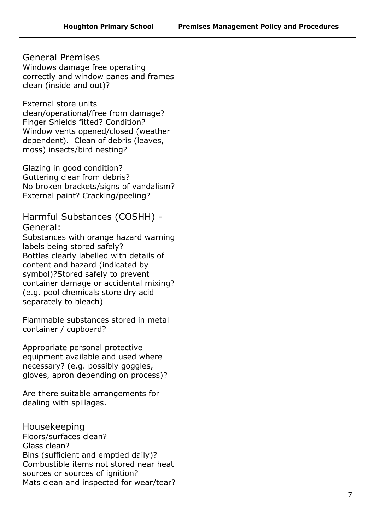| <b>General Premises</b><br>Windows damage free operating<br>correctly and window panes and frames<br>clean (inside and out)?                                                                                                                                                                                                                   |  |
|------------------------------------------------------------------------------------------------------------------------------------------------------------------------------------------------------------------------------------------------------------------------------------------------------------------------------------------------|--|
| External store units<br>clean/operational/free from damage?<br>Finger Shields fitted? Condition?<br>Window vents opened/closed (weather<br>dependent). Clean of debris (leaves,<br>moss) insects/bird nesting?                                                                                                                                 |  |
| Glazing in good condition?<br>Guttering clear from debris?<br>No broken brackets/signs of vandalism?<br>External paint? Cracking/peeling?                                                                                                                                                                                                      |  |
| Harmful Substances (COSHH) -<br>General:<br>Substances with orange hazard warning<br>labels being stored safely?<br>Bottles clearly labelled with details of<br>content and hazard (indicated by<br>symbol)?Stored safely to prevent<br>container damage or accidental mixing?<br>(e.g. pool chemicals store dry acid<br>separately to bleach) |  |
| Flammable substances stored in metal<br>container / cupboard?                                                                                                                                                                                                                                                                                  |  |
| Appropriate personal protective<br>equipment available and used where<br>necessary? (e.g. possibly goggles,<br>gloves, apron depending on process)?                                                                                                                                                                                            |  |
| Are there suitable arrangements for<br>dealing with spillages.                                                                                                                                                                                                                                                                                 |  |
| Housekeeping<br>Floors/surfaces clean?<br>Glass clean?<br>Bins (sufficient and emptied daily)?<br>Combustible items not stored near heat<br>sources or sources of ignition?<br>Mats clean and inspected for wear/tear?                                                                                                                         |  |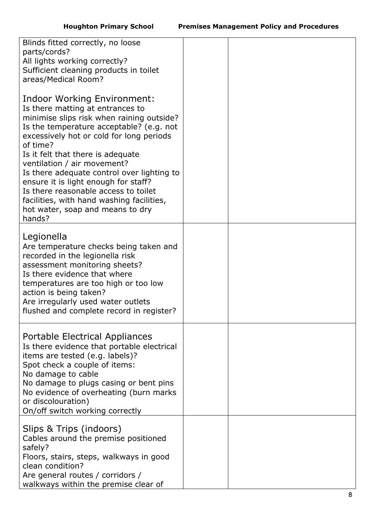| Blinds fitted correctly, no loose<br>parts/cords?<br>All lights working correctly?<br>Sufficient cleaning products in toilet<br>areas/Medical Room?                                                                                                                                                                                                                                                                                                                                                           |  |
|---------------------------------------------------------------------------------------------------------------------------------------------------------------------------------------------------------------------------------------------------------------------------------------------------------------------------------------------------------------------------------------------------------------------------------------------------------------------------------------------------------------|--|
| Indoor Working Environment:<br>Is there matting at entrances to<br>minimise slips risk when raining outside?<br>Is the temperature acceptable? (e.g. not<br>excessively hot or cold for long periods<br>of time?<br>Is it felt that there is adequate<br>ventilation / air movement?<br>Is there adequate control over lighting to<br>ensure it is light enough for staff?<br>Is there reasonable access to toilet<br>facilities, with hand washing facilities,<br>hot water, soap and means to dry<br>hands? |  |
| Legionella<br>Are temperature checks being taken and<br>recorded in the legionella risk<br>assessment monitoring sheets?<br>Is there evidence that where<br>temperatures are too high or too low<br>action is being taken?<br>Are irregularly used water outlets<br>flushed and complete record in register?                                                                                                                                                                                                  |  |
| Portable Electrical Appliances<br>Is there evidence that portable electrical<br>items are tested (e.g. labels)?<br>Spot check a couple of items:<br>No damage to cable<br>No damage to plugs casing or bent pins<br>No evidence of overheating (burn marks<br>or discolouration)<br>On/off switch working correctly                                                                                                                                                                                           |  |
| Slips & Trips (indoors)<br>Cables around the premise positioned<br>safely?<br>Floors, stairs, steps, walkways in good<br>clean condition?<br>Are general routes / corridors /<br>walkways within the premise clear of                                                                                                                                                                                                                                                                                         |  |